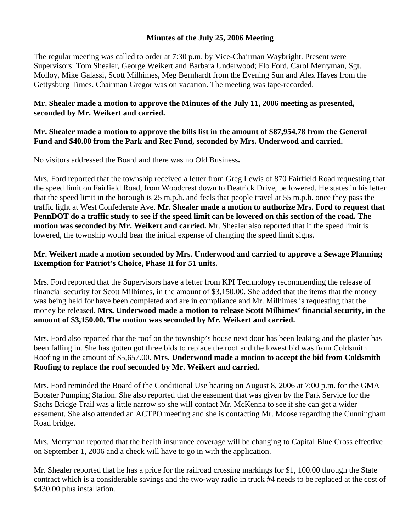### **Minutes of the July 25, 2006 Meeting**

The regular meeting was called to order at 7:30 p.m. by Vice-Chairman Waybright. Present were Supervisors: Tom Shealer, George Weikert and Barbara Underwood; Flo Ford, Carol Merryman, Sgt. Molloy, Mike Galassi, Scott Milhimes, Meg Bernhardt from the Evening Sun and Alex Hayes from the Gettysburg Times. Chairman Gregor was on vacation. The meeting was tape-recorded.

## **Mr. Shealer made a motion to approve the Minutes of the July 11, 2006 meeting as presented, seconded by Mr. Weikert and carried.**

#### **Mr. Shealer made a motion to approve the bills list in the amount of \$87,954.78 from the General Fund and \$40.00 from the Park and Rec Fund, seconded by Mrs. Underwood and carried.**

No visitors addressed the Board and there was no Old Business**.** 

Mrs. Ford reported that the township received a letter from Greg Lewis of 870 Fairfield Road requesting that the speed limit on Fairfield Road, from Woodcrest down to Deatrick Drive, be lowered. He states in his letter that the speed limit in the borough is 25 m.p.h. and feels that people travel at 55 m.p.h. once they pass the traffic light at West Confederate Ave. **Mr. Shealer made a motion to authorize Mrs. Ford to request that PennDOT do a traffic study to see if the speed limit can be lowered on this section of the road. The motion was seconded by Mr. Weikert and carried.** Mr. Shealer also reported that if the speed limit is lowered, the township would bear the initial expense of changing the speed limit signs.

## **Mr. Weikert made a motion seconded by Mrs. Underwood and carried to approve a Sewage Planning Exemption for Patriot's Choice, Phase II for 51 units.**

Mrs. Ford reported that the Supervisors have a letter from KPI Technology recommending the release of financial security for Scott Milhimes, in the amount of \$3,150.00. She added that the items that the money was being held for have been completed and are in compliance and Mr. Milhimes is requesting that the money be released. **Mrs. Underwood made a motion to release Scott Milhimes' financial security, in the amount of \$3,150.00. The motion was seconded by Mr. Weikert and carried.** 

Mrs. Ford also reported that the roof on the township's house next door has been leaking and the plaster has been falling in. She has gotten got three bids to replace the roof and the lowest bid was from Coldsmith Roofing in the amount of \$5,657.00. **Mrs. Underwood made a motion to accept the bid from Coldsmith Roofing to replace the roof seconded by Mr. Weikert and carried.** 

Mrs. Ford reminded the Board of the Conditional Use hearing on August 8, 2006 at 7:00 p.m. for the GMA Booster Pumping Station. She also reported that the easement that was given by the Park Service for the Sachs Bridge Trail was a little narrow so she will contact Mr. McKenna to see if she can get a wider easement. She also attended an ACTPO meeting and she is contacting Mr. Moose regarding the Cunningham Road bridge.

Mrs. Merryman reported that the health insurance coverage will be changing to Capital Blue Cross effective on September 1, 2006 and a check will have to go in with the application.

Mr. Shealer reported that he has a price for the railroad crossing markings for \$1, 100.00 through the State contract which is a considerable savings and the two-way radio in truck #4 needs to be replaced at the cost of \$430.00 plus installation.